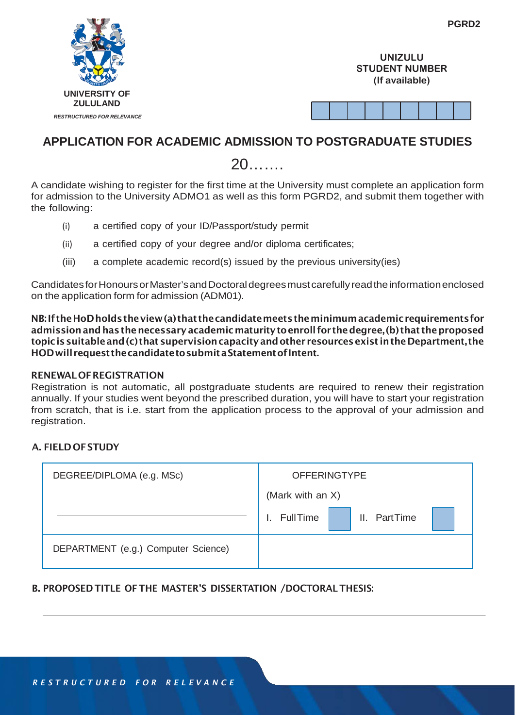|                                   | PGRD2                                                     |
|-----------------------------------|-----------------------------------------------------------|
|                                   | <b>UNIZULU</b><br><b>STUDENT NUMBER</b><br>(If available) |
| <b>UNIVERSITY OF</b>              |                                                           |
| <b>ZULULAND</b>                   |                                                           |
| <b>RESTRUCTURED FOR RELEVANCE</b> |                                                           |

# **APPLICATION FOR ACADEMIC ADMISSION TO POSTGRADUATE STUDIES**

20…….

A candidate wishing to register for the first time at the University must complete an application form for admission to the University ADMO1 as well as this form PGRD2, and submit them together with the following:

- (i) a certified copy of your ID/Passport/study permit
- (ii) a certified copy of your degree and/or diploma certificates;
- (iii) a complete academic record(s) issued by the previous university(ies)

CandidatesforHonoursorMaster'sandDoctoraldegreesmustcarefullyreadtheinformationenclosed on the application form for admission (ADM01).

NB:If theHoDholdstheview(a) that thecandidatemeetstheminimumacademicrequirementsfor admission and has the necessary academic maturity to enroll for the degree, (b) that the proposed topicissuitableand(c) that supervisioncapacityandother resourcesexist intheDepartment, the HODwillrequestthecandidatetosubmitaStatementofIntent.

#### RENEWALOFREGISTRATION

Registration is not automatic, all postgraduate students are required to renew their registration annually. If your studies went beyond the prescribed duration, you will have to start your registration from scratch, that is i.e. start from the application process to the approval of your admission and registration.

#### A. FIELD OFSTUDY

| DEGREE/DIPLOMA (e.g. MSc)           | <b>OFFERINGTYPE</b>             |
|-------------------------------------|---------------------------------|
|                                     | (Mark with an X)                |
|                                     | II. PartTime<br><b>FullTime</b> |
| DEPARTMENT (e.g.) Computer Science) |                                 |

## B. PROPOSED TITLE OF THE MASTER'S DISSERTATION /DOCTORAL THESIS: